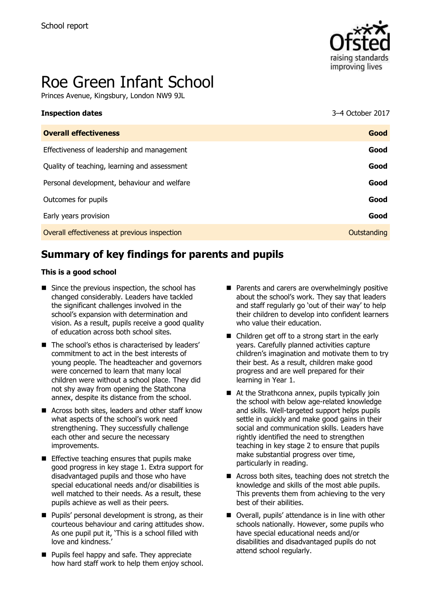

# Roe Green Infant School

Princes Avenue, Kingsbury, London NW9 9JL

| <b>Inspection dates</b>                      | 3-4 October 2017 |
|----------------------------------------------|------------------|
| <b>Overall effectiveness</b>                 | Good             |
| Effectiveness of leadership and management   | Good             |
| Quality of teaching, learning and assessment | Good             |
| Personal development, behaviour and welfare  | Good             |
| Outcomes for pupils                          | Good             |
| Early years provision                        | Good             |
| Overall effectiveness at previous inspection | Outstanding      |
|                                              |                  |

# **Summary of key findings for parents and pupils**

#### **This is a good school**

- $\blacksquare$  Since the previous inspection, the school has changed considerably. Leaders have tackled the significant challenges involved in the school's expansion with determination and vision. As a result, pupils receive a good quality of education across both school sites.
- The school's ethos is characterised by leaders' commitment to act in the best interests of young people. The headteacher and governors were concerned to learn that many local children were without a school place. They did not shy away from opening the Stathcona annex, despite its distance from the school.
- Across both sites, leaders and other staff know what aspects of the school's work need strengthening. They successfully challenge each other and secure the necessary improvements.
- $\blacksquare$  Effective teaching ensures that pupils make good progress in key stage 1. Extra support for disadvantaged pupils and those who have special educational needs and/or disabilities is well matched to their needs. As a result, these pupils achieve as well as their peers.
- $\blacksquare$  Pupils' personal development is strong, as their courteous behaviour and caring attitudes show. As one pupil put it, 'This is a school filled with love and kindness.'
- **Pupils feel happy and safe. They appreciate** how hard staff work to help them enjoy school.
- **Parents and carers are overwhelmingly positive** about the school's work. They say that leaders and staff regularly go 'out of their way' to help their children to develop into confident learners who value their education.
- Children get off to a strong start in the early years. Carefully planned activities capture children's imagination and motivate them to try their best. As a result, children make good progress and are well prepared for their learning in Year 1.
- $\blacksquare$  At the Strathcona annex, pupils typically join the school with below age-related knowledge and skills. Well-targeted support helps pupils settle in quickly and make good gains in their social and communication skills. Leaders have rightly identified the need to strengthen teaching in key stage 2 to ensure that pupils make substantial progress over time, particularly in reading.
- Across both sites, teaching does not stretch the knowledge and skills of the most able pupils. This prevents them from achieving to the very best of their abilities.
- Overall, pupils' attendance is in line with other schools nationally. However, some pupils who have special educational needs and/or disabilities and disadvantaged pupils do not attend school regularly.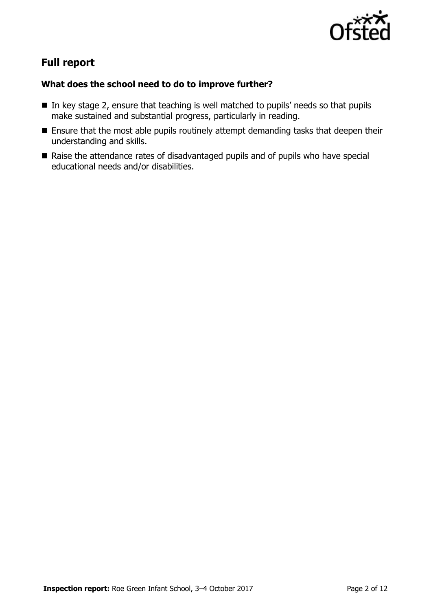

# **Full report**

### **What does the school need to do to improve further?**

- In key stage 2, ensure that teaching is well matched to pupils' needs so that pupils make sustained and substantial progress, particularly in reading.
- **Ensure that the most able pupils routinely attempt demanding tasks that deepen their** understanding and skills.
- Raise the attendance rates of disadvantaged pupils and of pupils who have special educational needs and/or disabilities.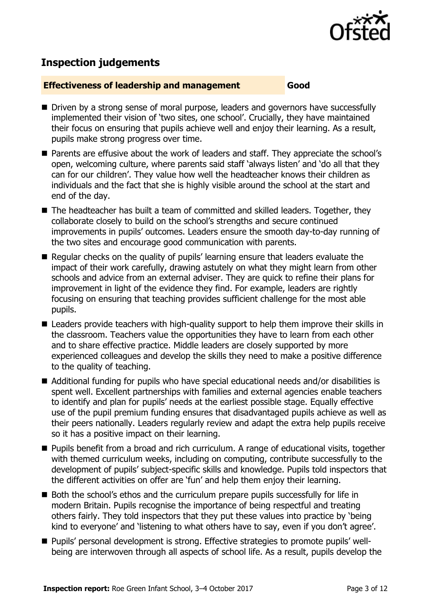

# **Inspection judgements**

#### **Effectiveness of leadership and management Good**

- Driven by a strong sense of moral purpose, leaders and governors have successfully implemented their vision of 'two sites, one school'. Crucially, they have maintained their focus on ensuring that pupils achieve well and enjoy their learning. As a result, pupils make strong progress over time.
- Parents are effusive about the work of leaders and staff. They appreciate the school's open, welcoming culture, where parents said staff 'always listen' and 'do all that they can for our children'. They value how well the headteacher knows their children as individuals and the fact that she is highly visible around the school at the start and end of the day.
- The headteacher has built a team of committed and skilled leaders. Together, they collaborate closely to build on the school's strengths and secure continued improvements in pupils' outcomes. Leaders ensure the smooth day-to-day running of the two sites and encourage good communication with parents.
- Regular checks on the quality of pupils' learning ensure that leaders evaluate the impact of their work carefully, drawing astutely on what they might learn from other schools and advice from an external adviser. They are quick to refine their plans for improvement in light of the evidence they find. For example, leaders are rightly focusing on ensuring that teaching provides sufficient challenge for the most able pupils.
- Leaders provide teachers with high-quality support to help them improve their skills in the classroom. Teachers value the opportunities they have to learn from each other and to share effective practice. Middle leaders are closely supported by more experienced colleagues and develop the skills they need to make a positive difference to the quality of teaching.
- Additional funding for pupils who have special educational needs and/or disabilities is spent well. Excellent partnerships with families and external agencies enable teachers to identify and plan for pupils' needs at the earliest possible stage. Equally effective use of the pupil premium funding ensures that disadvantaged pupils achieve as well as their peers nationally. Leaders regularly review and adapt the extra help pupils receive so it has a positive impact on their learning.
- **Pupils benefit from a broad and rich curriculum. A range of educational visits, together** with themed curriculum weeks, including on computing, contribute successfully to the development of pupils' subject-specific skills and knowledge. Pupils told inspectors that the different activities on offer are 'fun' and help them enjoy their learning.
- Both the school's ethos and the curriculum prepare pupils successfully for life in modern Britain. Pupils recognise the importance of being respectful and treating others fairly. They told inspectors that they put these values into practice by 'being kind to everyone' and 'listening to what others have to say, even if you don't agree'.
- Pupils' personal development is strong. Effective strategies to promote pupils' wellbeing are interwoven through all aspects of school life. As a result, pupils develop the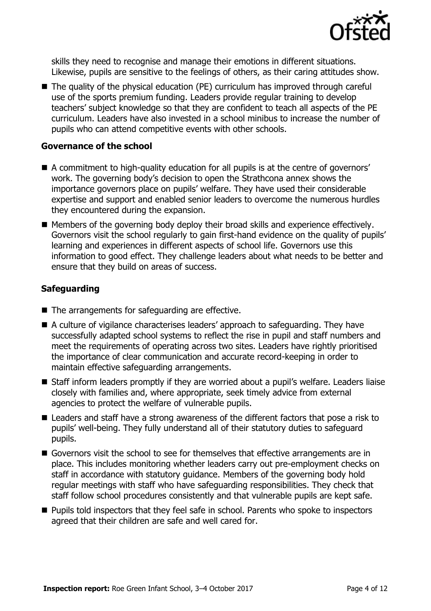

skills they need to recognise and manage their emotions in different situations. Likewise, pupils are sensitive to the feelings of others, as their caring attitudes show.

■ The quality of the physical education (PE) curriculum has improved through careful use of the sports premium funding. Leaders provide regular training to develop teachers' subject knowledge so that they are confident to teach all aspects of the PE curriculum. Leaders have also invested in a school minibus to increase the number of pupils who can attend competitive events with other schools.

#### **Governance of the school**

- A commitment to high-quality education for all pupils is at the centre of governors' work. The governing body's decision to open the Strathcona annex shows the importance governors place on pupils' welfare. They have used their considerable expertise and support and enabled senior leaders to overcome the numerous hurdles they encountered during the expansion.
- Members of the governing body deploy their broad skills and experience effectively. Governors visit the school regularly to gain first-hand evidence on the quality of pupils' learning and experiences in different aspects of school life. Governors use this information to good effect. They challenge leaders about what needs to be better and ensure that they build on areas of success.

### **Safeguarding**

- $\blacksquare$  The arrangements for safeguarding are effective.
- A culture of vigilance characterises leaders' approach to safeguarding. They have successfully adapted school systems to reflect the rise in pupil and staff numbers and meet the requirements of operating across two sites. Leaders have rightly prioritised the importance of clear communication and accurate record-keeping in order to maintain effective safeguarding arrangements.
- Staff inform leaders promptly if they are worried about a pupil's welfare. Leaders liaise closely with families and, where appropriate, seek timely advice from external agencies to protect the welfare of vulnerable pupils.
- Leaders and staff have a strong awareness of the different factors that pose a risk to pupils' well-being. They fully understand all of their statutory duties to safeguard pupils.
- Governors visit the school to see for themselves that effective arrangements are in place. This includes monitoring whether leaders carry out pre-employment checks on staff in accordance with statutory guidance. Members of the governing body hold regular meetings with staff who have safeguarding responsibilities. They check that staff follow school procedures consistently and that vulnerable pupils are kept safe.
- Pupils told inspectors that they feel safe in school. Parents who spoke to inspectors agreed that their children are safe and well cared for.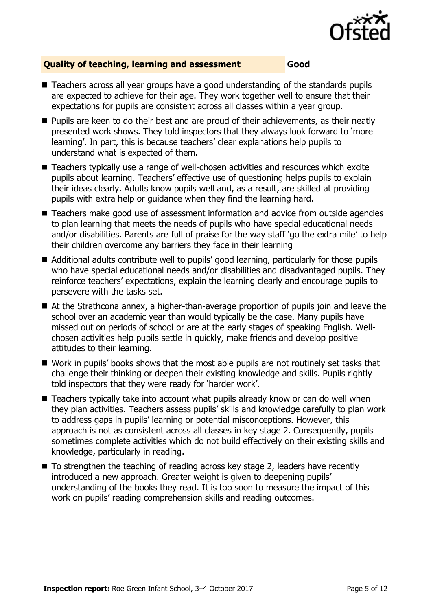

#### **Quality of teaching, learning and assessment Good**

- Teachers across all year groups have a good understanding of the standards pupils are expected to achieve for their age. They work together well to ensure that their expectations for pupils are consistent across all classes within a year group.
- **Pupils are keen to do their best and are proud of their achievements, as their neatly** presented work shows. They told inspectors that they always look forward to 'more learning'. In part, this is because teachers' clear explanations help pupils to understand what is expected of them.
- Teachers typically use a range of well-chosen activities and resources which excite pupils about learning. Teachers' effective use of questioning helps pupils to explain their ideas clearly. Adults know pupils well and, as a result, are skilled at providing pupils with extra help or guidance when they find the learning hard.
- Teachers make good use of assessment information and advice from outside agencies to plan learning that meets the needs of pupils who have special educational needs and/or disabilities. Parents are full of praise for the way staff 'go the extra mile' to help their children overcome any barriers they face in their learning
- Additional adults contribute well to pupils' good learning, particularly for those pupils who have special educational needs and/or disabilities and disadvantaged pupils. They reinforce teachers' expectations, explain the learning clearly and encourage pupils to persevere with the tasks set.
- At the Strathcona annex, a higher-than-average proportion of pupils join and leave the school over an academic year than would typically be the case. Many pupils have missed out on periods of school or are at the early stages of speaking English. Wellchosen activities help pupils settle in quickly, make friends and develop positive attitudes to their learning.
- Work in pupils' books shows that the most able pupils are not routinely set tasks that challenge their thinking or deepen their existing knowledge and skills. Pupils rightly told inspectors that they were ready for 'harder work'.
- Teachers typically take into account what pupils already know or can do well when they plan activities. Teachers assess pupils' skills and knowledge carefully to plan work to address gaps in pupils' learning or potential misconceptions. However, this approach is not as consistent across all classes in key stage 2. Consequently, pupils sometimes complete activities which do not build effectively on their existing skills and knowledge, particularly in reading.
- $\blacksquare$  To strengthen the teaching of reading across key stage 2, leaders have recently introduced a new approach. Greater weight is given to deepening pupils' understanding of the books they read. It is too soon to measure the impact of this work on pupils' reading comprehension skills and reading outcomes.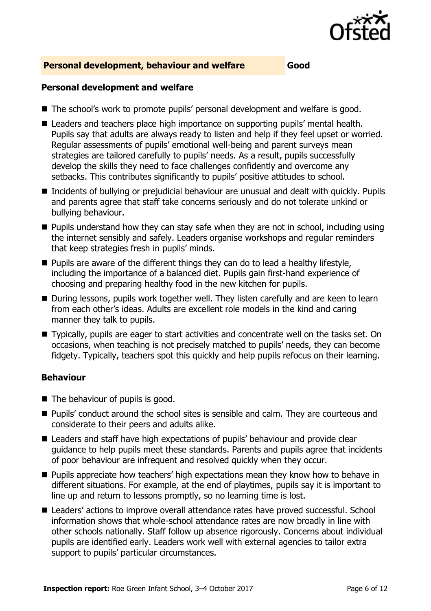

#### **Personal development, behaviour and welfare Good**

#### **Personal development and welfare**

- The school's work to promote pupils' personal development and welfare is good.
- Leaders and teachers place high importance on supporting pupils' mental health. Pupils say that adults are always ready to listen and help if they feel upset or worried. Regular assessments of pupils' emotional well-being and parent surveys mean strategies are tailored carefully to pupils' needs. As a result, pupils successfully develop the skills they need to face challenges confidently and overcome any setbacks. This contributes significantly to pupils' positive attitudes to school.
- Incidents of bullying or prejudicial behaviour are unusual and dealt with quickly. Pupils and parents agree that staff take concerns seriously and do not tolerate unkind or bullying behaviour.
- $\blacksquare$  Pupils understand how they can stay safe when they are not in school, including using the internet sensibly and safely. Leaders organise workshops and regular reminders that keep strategies fresh in pupils' minds.
- $\blacksquare$  Pupils are aware of the different things they can do to lead a healthy lifestyle, including the importance of a balanced diet. Pupils gain first-hand experience of choosing and preparing healthy food in the new kitchen for pupils.
- During lessons, pupils work together well. They listen carefully and are keen to learn from each other's ideas. Adults are excellent role models in the kind and caring manner they talk to pupils.
- Typically, pupils are eager to start activities and concentrate well on the tasks set. On occasions, when teaching is not precisely matched to pupils' needs, they can become fidgety. Typically, teachers spot this quickly and help pupils refocus on their learning.

#### **Behaviour**

- The behaviour of pupils is good.
- Pupils' conduct around the school sites is sensible and calm. They are courteous and considerate to their peers and adults alike.
- Leaders and staff have high expectations of pupils' behaviour and provide clear guidance to help pupils meet these standards. Parents and pupils agree that incidents of poor behaviour are infrequent and resolved quickly when they occur.
- **Pupils appreciate how teachers' high expectations mean they know how to behave in** different situations. For example, at the end of playtimes, pupils say it is important to line up and return to lessons promptly, so no learning time is lost.
- Leaders' actions to improve overall attendance rates have proved successful. School information shows that whole-school attendance rates are now broadly in line with other schools nationally. Staff follow up absence rigorously. Concerns about individual pupils are identified early. Leaders work well with external agencies to tailor extra support to pupils' particular circumstances.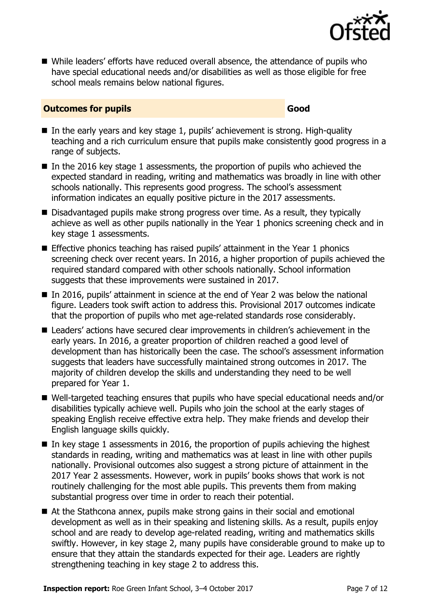

■ While leaders' efforts have reduced overall absence, the attendance of pupils who have special educational needs and/or disabilities as well as those eligible for free school meals remains below national figures.

#### **Outcomes for pupils Good**

- In the early years and key stage 1, pupils' achievement is strong. High-quality teaching and a rich curriculum ensure that pupils make consistently good progress in a range of subjects.
- In the 2016 key stage 1 assessments, the proportion of pupils who achieved the expected standard in reading, writing and mathematics was broadly in line with other schools nationally. This represents good progress. The school's assessment information indicates an equally positive picture in the 2017 assessments.
- Disadvantaged pupils make strong progress over time. As a result, they typically achieve as well as other pupils nationally in the Year 1 phonics screening check and in key stage 1 assessments.
- **Effective phonics teaching has raised pupils' attainment in the Year 1 phonics** screening check over recent years. In 2016, a higher proportion of pupils achieved the required standard compared with other schools nationally. School information suggests that these improvements were sustained in 2017.
- In 2016, pupils' attainment in science at the end of Year 2 was below the national figure. Leaders took swift action to address this. Provisional 2017 outcomes indicate that the proportion of pupils who met age-related standards rose considerably.
- Leaders' actions have secured clear improvements in children's achievement in the early years. In 2016, a greater proportion of children reached a good level of development than has historically been the case. The school's assessment information suggests that leaders have successfully maintained strong outcomes in 2017. The majority of children develop the skills and understanding they need to be well prepared for Year 1.
- Well-targeted teaching ensures that pupils who have special educational needs and/or disabilities typically achieve well. Pupils who join the school at the early stages of speaking English receive effective extra help. They make friends and develop their English language skills quickly.
- In key stage 1 assessments in 2016, the proportion of pupils achieving the highest standards in reading, writing and mathematics was at least in line with other pupils nationally. Provisional outcomes also suggest a strong picture of attainment in the 2017 Year 2 assessments. However, work in pupils' books shows that work is not routinely challenging for the most able pupils. This prevents them from making substantial progress over time in order to reach their potential.
- At the Stathcona annex, pupils make strong gains in their social and emotional development as well as in their speaking and listening skills. As a result, pupils enjoy school and are ready to develop age-related reading, writing and mathematics skills swiftly. However, in key stage 2, many pupils have considerable ground to make up to ensure that they attain the standards expected for their age. Leaders are rightly strengthening teaching in key stage 2 to address this.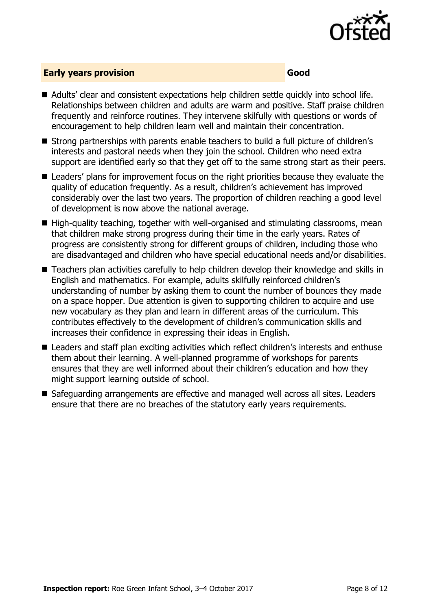

#### **Early years provision Good Good**

- Adults' clear and consistent expectations help children settle quickly into school life. Relationships between children and adults are warm and positive. Staff praise children frequently and reinforce routines. They intervene skilfully with questions or words of encouragement to help children learn well and maintain their concentration.
- Strong partnerships with parents enable teachers to build a full picture of children's interests and pastoral needs when they join the school. Children who need extra support are identified early so that they get off to the same strong start as their peers.
- Leaders' plans for improvement focus on the right priorities because they evaluate the quality of education frequently. As a result, children's achievement has improved considerably over the last two years. The proportion of children reaching a good level of development is now above the national average.
- $\blacksquare$  High-quality teaching, together with well-organised and stimulating classrooms, mean that children make strong progress during their time in the early years. Rates of progress are consistently strong for different groups of children, including those who are disadvantaged and children who have special educational needs and/or disabilities.
- Teachers plan activities carefully to help children develop their knowledge and skills in English and mathematics. For example, adults skilfully reinforced children's understanding of number by asking them to count the number of bounces they made on a space hopper. Due attention is given to supporting children to acquire and use new vocabulary as they plan and learn in different areas of the curriculum. This contributes effectively to the development of children's communication skills and increases their confidence in expressing their ideas in English.
- Leaders and staff plan exciting activities which reflect children's interests and enthuse them about their learning. A well-planned programme of workshops for parents ensures that they are well informed about their children's education and how they might support learning outside of school.
- Safeguarding arrangements are effective and managed well across all sites. Leaders ensure that there are no breaches of the statutory early years requirements.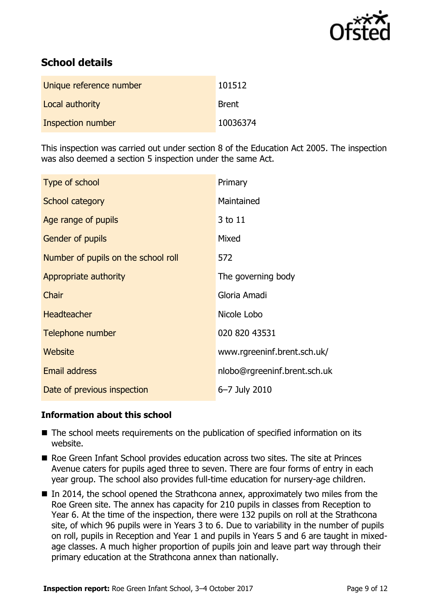

# **School details**

| Unique reference number | 101512       |
|-------------------------|--------------|
| Local authority         | <b>Brent</b> |
| Inspection number       | 10036374     |

This inspection was carried out under section 8 of the Education Act 2005. The inspection was also deemed a section 5 inspection under the same Act.

| Type of school                      | Primary                      |
|-------------------------------------|------------------------------|
| School category                     | Maintained                   |
| Age range of pupils                 | 3 to 11                      |
| <b>Gender of pupils</b>             | Mixed                        |
| Number of pupils on the school roll | 572                          |
| Appropriate authority               | The governing body           |
| Chair                               | Gloria Amadi                 |
| <b>Headteacher</b>                  | Nicole Lobo                  |
| Telephone number                    | 020 820 43531                |
| Website                             | www.rgreeninf.brent.sch.uk/  |
| <b>Email address</b>                | nlobo@rgreeninf.brent.sch.uk |
| Date of previous inspection         | 6-7 July 2010                |

### **Information about this school**

- The school meets requirements on the publication of specified information on its website.
- Roe Green Infant School provides education across two sites. The site at Princes Avenue caters for pupils aged three to seven. There are four forms of entry in each year group. The school also provides full-time education for nursery-age children.
- In 2014, the school opened the Strathcona annex, approximately two miles from the Roe Green site. The annex has capacity for 210 pupils in classes from Reception to Year 6. At the time of the inspection, there were 132 pupils on roll at the Strathcona site, of which 96 pupils were in Years 3 to 6. Due to variability in the number of pupils on roll, pupils in Reception and Year 1 and pupils in Years 5 and 6 are taught in mixedage classes. A much higher proportion of pupils join and leave part way through their primary education at the Strathcona annex than nationally.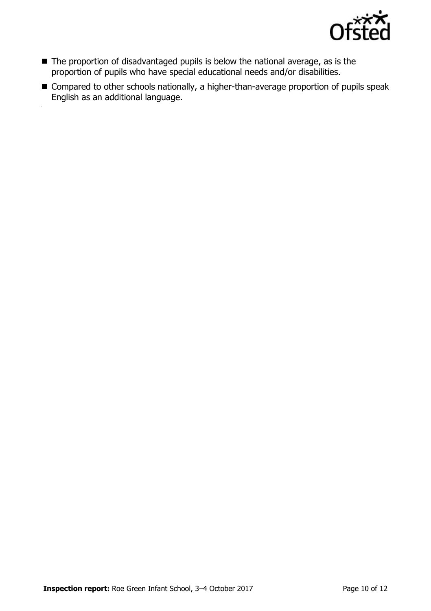

- The proportion of disadvantaged pupils is below the national average, as is the proportion of pupils who have special educational needs and/or disabilities.
- Compared to other schools nationally, a higher-than-average proportion of pupils speak English as an additional language.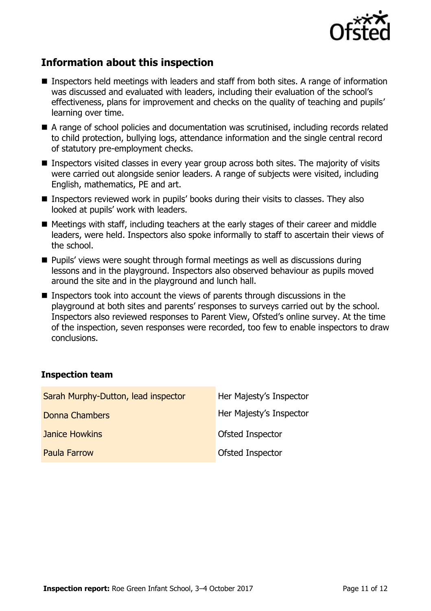

# **Information about this inspection**

- Inspectors held meetings with leaders and staff from both sites. A range of information was discussed and evaluated with leaders, including their evaluation of the school's effectiveness, plans for improvement and checks on the quality of teaching and pupils' learning over time.
- A range of school policies and documentation was scrutinised, including records related to child protection, bullying logs, attendance information and the single central record of statutory pre-employment checks.
- **Inspectors visited classes in every year group across both sites. The majority of visits** were carried out alongside senior leaders. A range of subjects were visited, including English, mathematics, PE and art.
- Inspectors reviewed work in pupils' books during their visits to classes. They also looked at pupils' work with leaders.
- Meetings with staff, including teachers at the early stages of their career and middle leaders, were held. Inspectors also spoke informally to staff to ascertain their views of the school.
- Pupils' views were sought through formal meetings as well as discussions during lessons and in the playground. Inspectors also observed behaviour as pupils moved around the site and in the playground and lunch hall.
- Inspectors took into account the views of parents through discussions in the playground at both sites and parents' responses to surveys carried out by the school. Inspectors also reviewed responses to Parent View, Ofsted's online survey. At the time of the inspection, seven responses were recorded, too few to enable inspectors to draw conclusions.

#### **Inspection team**

| Sarah Murphy-Dutton, lead inspector | Her Majesty's Inspector |
|-------------------------------------|-------------------------|
| Donna Chambers                      | Her Majesty's Inspector |
| <b>Janice Howkins</b>               | <b>Ofsted Inspector</b> |
| <b>Paula Farrow</b>                 | <b>Ofsted Inspector</b> |